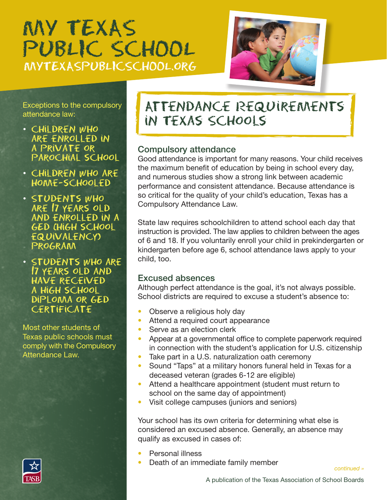# MY TEXAS PUBLIC SCHOOL MYTEXASPUBLICSCHOOL.org



Exceptions to the compulsory attendance law:

- CHILDREN WHO are eNrolled iN a private or parochial school
- ChildreN who are home-schooled
- StudeNts who are 17 years old aNd eNrolled iN a GED (high school **EQUIVALENCY** program
- StudeNts who are 17 years old aNd have received a high school diploma or GED **CERTIFICATE**

Most other students of Texas public schools must comply with the Compulsory Attendance Law.



## AtteNdaNce RequiremeNts iN Texas Schools

### Compulsory attendance

Good attendance is important for many reasons. Your child receives the maximum benefit of education by being in school every day, and numerous studies show a strong link between academic performance and consistent attendance. Because attendance is so critical for the quality of your child's education, Texas has a Compulsory Attendance Law.

State law requires schoolchildren to attend school each day that instruction is provided. The law applies to children between the ages of 6 and 18. If you voluntarily enroll your child in prekindergarten or kindergarten before age 6, school attendance laws apply to your child, too.

#### Excused absences

Although perfect attendance is the goal, it's not always possible. School districts are required to excuse a student's absence to:

- Observe a religious holy day
- Attend a required court appearance
- Serve as an election clerk
- Appear at a governmental office to complete paperwork required in connection with the student's application for U.S. citizenship
- Take part in a U.S. naturalization oath ceremony
- Sound "Taps" at a military honors funeral held in Texas for a deceased veteran (grades 6-12 are eligible)
- Attend a healthcare appointment (student must return to school on the same day of appointment)
- Visit college campuses (juniors and seniors)

Your school has its own criteria for determining what else is considered an excused absence. Generally, an absence may qualify as excused in cases of:

- Personal illness
- Death of an immediate family member